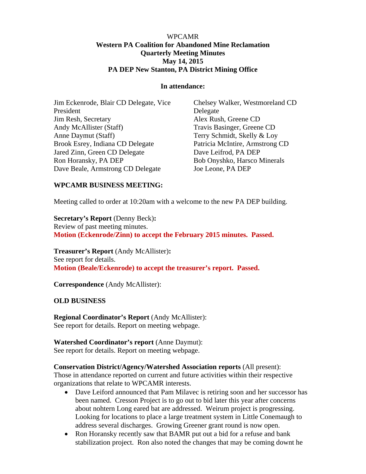## WPCAMR **Western PA Coalition for Abandoned Mine Reclamation Quarterly Meeting Minutes May 14, 2015 PA DEP New Stanton, PA District Mining Office**

### **In attendance:**

Jim Eckenrode, Blair CD Delegate, Vice President Jim Resh, Secretary Andy McAllister (Staff) Anne Daymut (Staff) Brook Esrey, Indiana CD Delegate Jared Zinn, Green CD Delegate Ron Horansky, PA DEP Dave Beale, Armstrong CD Delegate

Chelsey Walker, Westmoreland CD Delegate Alex Rush, Greene CD Travis Basinger, Greene CD Terry Schmidt, Skelly & Loy Patricia McIntire, Armstrong CD Dave Leifrod, PA DEP Bob Onyshko, Harsco Minerals Joe Leone, PA DEP

#### **WPCAMR BUSINESS MEETING:**

Meeting called to order at 10:20am with a welcome to the new PA DEP building.

**Secretary's Report** (Denny Beck)**:**  Review of past meeting minutes. **Motion (Eckenrode/Zinn) to accept the February 2015 minutes. Passed.** 

**Treasurer's Report** (Andy McAllister)**:**  See report for details. **Motion (Beale/Eckenrode) to accept the treasurer's report. Passed.** 

**Correspondence** (Andy McAllister):

#### **OLD BUSINESS**

**Regional Coordinator's Report** (Andy McAllister): See report for details. Report on meeting webpage.

**Watershed Coordinator's report** (Anne Daymut): See report for details. Report on meeting webpage.

#### **Conservation District/Agency/Watershed Association reports** (All present):

Those in attendance reported on current and future activities within their respective organizations that relate to WPCAMR interests.

- Dave Leiford announced that Pam Milavec is retiring soon and her successor has been named. Cresson Project is to go out to bid later this year after concerns about nohtern Long eared bat are addressed. Weirum project is progressing. Looking for locations to place a large treatment system in Little Conemaugh to address several discharges. Growing Greener grant round is now open.
- Ron Horansky recently saw that BAMR put out a bid for a refuse and bank stabilization project. Ron also noted the changes that may be coming downt he